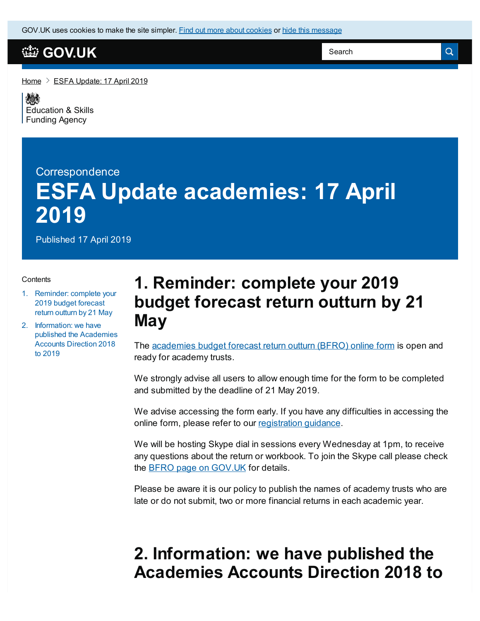GOV.UK uses [cookies](https://www.gov.uk/help/cookies) to make the site simpler. Find out more about cookies or hide this [message](#page-0-0)

## **[GOV.UK](https://www.gov.uk)**

Search

Q

[Home](https://www.gov.uk/)  $\geq$  ESFA [Update:](https://www.gov.uk/government/publications/esfa-update-17-april-2019) 17 April 2019

《秦 [Education](https://www.gov.uk/government/organisations/education-and-skills-funding-agency) & Skills Funding Agency

# **Correspondence ESFA Update academies: 17 April 2019**

Published 17 April 2019

### **Contents**

- 1. [Reminder:](#page-0-0) complete your 2019 budget forecast return outturn by 21 May
- 2. [Information:](#page-0-0) we have published the Academies Accounts Direction 2018 to 2019

## <span id="page-0-0"></span>**1. Reminder: complete your 2019 budget forecast return outturn by 21 May**

The [academies](https://www.gov.uk/guidance/academies-budget-forecast-return?utm_source=ESFA Update guidance (17%2F04%2F2019)) budget forecast return outturn (BFRO) online form is open and ready for academy trusts.

We strongly advise all users to allow enough time for the form to be completed and submitted by the deadline of 21 May 2019.

We advise accessing the form early. If you have any difficulties in accessing the online form, please refer to our [registration](https://www.gov.uk/government/publications/how-to-register-for-an-idams-account?utm_source=Register guidance (17%2F04%2F2019)) guidance.

We will be hosting Skype dial in sessions every Wednesday at 1pm, to receive any questions about the return or workbook. To join the Skype call please check the BFRO page on [GOV.UK](https://www.gov.uk/guidance/academies-budget-forecast-return?utm_source=ESFA Update guidance (17%2F04%2F2019)) for details.

Please be aware it is our policy to publish the names of academy trusts who are late or do not submit, two or more financial returns in each academic year.

## **2. Information: we have published the Academies Accounts Direction 2018 to**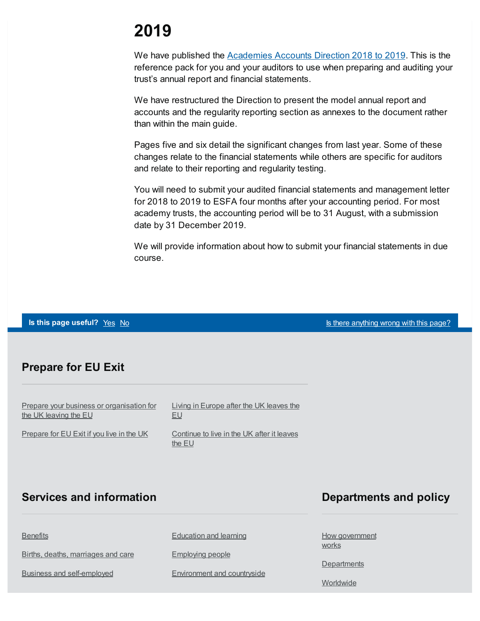# **2019**

We have published the **[Academies](https://www.gov.uk/guidance/academies-accounts-direction?utm_source=ESFA update 17%2F04%2F19) Accounts Direction 2018 to 2019**. This is the reference pack for you and your auditors to use when preparing and auditing your trust's annual report and financial statements.

We have restructured the Direction to present the model annual report and accounts and the regularity reporting section as annexes to the document rather than within the main guide.

Pages five and six detail the significant changes from last year. Some of these changes relate to the financial statements while others are specific for auditors and relate to their reporting and regularity testing.

You will need to submit your audited financial statements and management letter for 2018 to 2019 to ESFA four months after your accounting period. For most academy trusts, the accounting period will be to 31 August, with a submission date by 31 December 2019.

We will provide information about how to submit your financial statements in due course.

**Is this page useful?** [Yes](https://www.gov.uk/contact/govuk) [No](https://www.gov.uk/contact/govuk) Is the Magnetic Control of the Magnetic Section 1 and 1 and 1 and 1 and 1 and 1 and 1 and 1 and 1 and 1 and 1 and 1 and 1 and 1 and 1 and 1 and 1 and 1 and 1 and 1 and 1 and 1 and 1 and 1 and

### **Prepare for EU Exit**

Prepare your business or [organisation](https://www.gov.uk/business-uk-leaving-eu) for the UK leaving the EU

[Prepare](https://www.gov.uk/prepare-eu-exit) for EU Exit if you live in the UK

Living in [Europe](https://www.gov.uk/uk-nationals-living-eu) after the UK leaves the EU

[Continue](https://www.gov.uk/staying-uk-eu-citizen) to live in the UK after it leaves the EU

### **Services and information**

### **Departments and policy**

**[Benefits](https://www.gov.uk/browse/benefits)** 

Births, deaths, [marriages](https://www.gov.uk/browse/births-deaths-marriages) and care

Business and [self-employed](https://www.gov.uk/browse/business)

[Education](https://www.gov.uk/browse/education) and learning

[Employing](https://www.gov.uk/browse/employing-people) people

[Environment](https://www.gov.uk/browse/environment-countryside) and countryside

How [government](https://www.gov.uk/government/how-government-works) works

**[Departments](https://www.gov.uk/government/organisations)** 

**[Worldwide](https://www.gov.uk/world)**